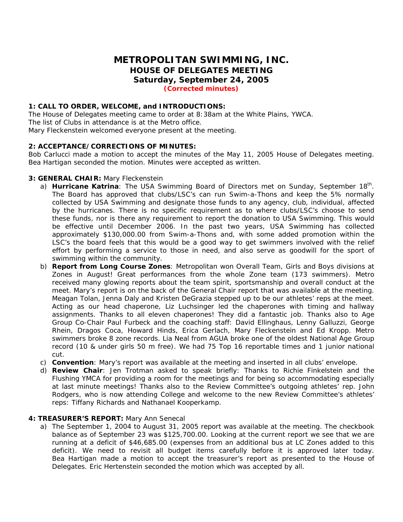# **METROPOLITAN SWIMMING, INC. HOUSE OF DELEGATES MEETING Saturday, September 24, 2005 (Corrected minutes)**

### **1: CALL TO ORDER, WELCOME, and INTRODUCTIONS:**

The House of Delegates meeting came to order at 8:38am at the White Plains, YWCA. The list of Clubs in attendance is at the Metro office. Mary Fleckenstein welcomed everyone present at the meeting.

### **2: ACCEPTANCE/CORRECTIONS OF MINUTES:**

Bob Carlucci made a motion to accept the minutes of the May 11, 2005 House of Delegates meeting. Bea Hartigan seconded the motion. Minutes were accepted as written.

### **3: GENERAL CHAIR:** Mary Fleckenstein

- a) **Hurricane Katrina**: The USA Swimming Board of Directors met on Sunday, September 18<sup>th</sup>. The Board has approved that clubs/LSC's can run Swim-a-Thons and keep the 5% normally collected by USA Swimming and designate those funds to any agency, club, individual, affected by the hurricanes. There is no specific requirement as to where clubs/LSC's choose to send these funds, nor is there any requirement to report the donation to USA Swimming. This would be effective until December 2006. In the past two years, USA Swimming has collected approximately \$130,000.00 from Swim-a-Thons and, with some added promotion within the LSC's the board feels that this would be a good way to get swimmers involved with the relief effort by performing a service to those in need, and also serve as goodwill for the sport of swimming within the community.
- b) **Report from Long Course Zones**: Metropolitan won Overall Team, Girls and Boys divisions at Zones in August! Great performances from the whole Zone team (173 swimmers). Metro received many glowing reports about the team spirit, sportsmanship and overall conduct at the meet. Mary's report is on the back of the General Chair report that was available at the meeting. Meagan Tolan, Jenna Daly and Kristen DeGrazia stepped up to be our athletes' reps at the meet. Acting as our head chaperone, Liz Luchsinger led the chaperones with timing and hallway assignments. Thanks to all eleven chaperones! They did a fantastic job. Thanks also to Age Group Co-Chair Paul Furbeck and the coaching staff: David Ellinghaus, Lenny Galluzzi, George Rhein, Dragos Coca, Howard Hinds, Erica Gerlach, Mary Fleckenstein and Ed Kropp. Metro swimmers broke 8 zone records. Lia Neal from AGUA broke one of the oldest National Age Group record (10 & under girls 50 m free). We had 75 Top 16 reportable times and 1 junior national cut.
- c) **Convention**: Mary's report was available at the meeting and inserted in all clubs' envelope.
- d) **Review Chair**: Jen Trotman asked to speak briefly: Thanks to Richie Finkelstein and the Flushing YMCA for providing a room for the meetings and for being so accommodating especially at last minute meetings! Thanks also to the Review Committee's outgoing athletes' rep. John Rodgers, who is now attending College and welcome to the new Review Committee's athletes' reps: Tiffany Richards and Nathanael Kooperkamp.

### **4: TREASURER'S REPORT:** Mary Ann Senecal

a) The September 1, 2004 to August 31, 2005 report was available at the meeting. The checkbook balance as of September 23 was \$125,700.00. Looking at the current report we see that we are running at a deficit of \$46,685.00 (expenses from an additional bus at LC Zones added to this deficit). We need to revisit all budget items carefully before it is approved later today. Bea Hartigan made a motion to accept the treasurer's report as presented to the House of Delegates. Eric Hertenstein seconded the motion which was accepted by all.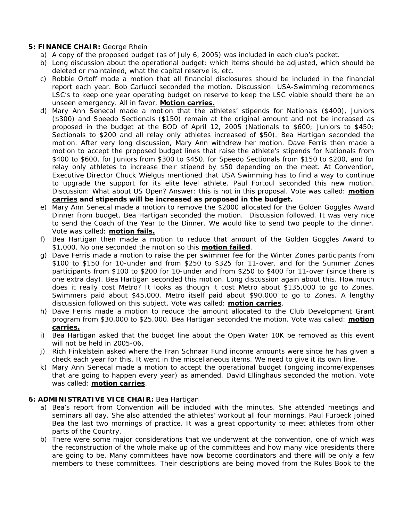### **5: FINANCE CHAIR:** George Rhein

- a) A copy of the proposed budget (as of July 6, 2005) was included in each club's packet.
- b) Long discussion about the operational budget: which items should be adjusted, which should be deleted or maintained, what the capital reserve is, etc.
- c) Robbie Ortoff made a motion that all financial disclosures should be included in the financial report each year. Bob Carlucci seconded the motion. Discussion: USA-Swimming recommends LSC's to keep one year operating budget on reserve to keep the LSC viable should there be an unseen emergency. All in favor. **Motion carries.**
- d) Mary Ann Senecal made a motion that the athletes' stipends for Nationals (\$400), Juniors (\$300) and Speedo Sectionals (\$150) remain at the original amount and not be increased as proposed in the budget at the BOD of April 12, 2005 (Nationals to \$600; Juniors to \$450; Sectionals to \$200 and all relay only athletes increased of \$50). Bea Hartigan seconded the motion. After very long discussion, Mary Ann withdrew her motion. Dave Ferris then made a motion to accept the proposed budget lines that raise the athlete's stipends for Nationals from \$400 to \$600, for Juniors from \$300 to \$450, for Speedo Sectionals from \$150 to \$200, and for relay only athletes to increase their stipend by \$50 depending on the meet. At Convention, Executive Director Chuck Wielgus mentioned that USA Swimming has to find a way to continue to upgrade the support for its elite level athlete. Paul Fortoul seconded this new motion. Discussion: What about US Open? Answer: this is not in this proposal. Vote was called: **motion carries and stipends will be increased as proposed in the budget.**
- e) Mary Ann Senecal made a motion to remove the \$2000 allocated for the Golden Goggles Award Dinner from budget. Bea Hartigan seconded the motion. Discussion followed. It was very nice to send the Coach of the Year to the Dinner. We would like to send two people to the dinner. Vote was called: **motion fails.**
- f) Bea Hartigan then made a motion to reduce that amount of the Golden Goggles Award to \$1,000. No one seconded the motion so this **motion failed**.
- g) Dave Ferris made a motion to raise the per swimmer fee for the Winter Zones participants from \$100 to \$150 for 10-under and from \$250 to \$325 for 11-over, and for the Summer Zones participants from \$100 to \$200 for 10-under and from \$250 to \$400 for 11-over (since there is one extra day). Bea Hartigan seconded this motion. Long discussion again about this. How much does it really cost Metro? It looks as though it cost Metro about \$135,000 to go to Zones. Swimmers paid about \$45,000. Metro itself paid about \$90,000 to go to Zones. A lengthy discussion followed on this subject. Vote was called: **motion carries**.
- h) Dave Ferris made a motion to reduce the amount allocated to the Club Development Grant program from \$30,000 to \$25,000. Bea Hartigan seconded the motion. Vote was called: **motion carries.**
- i) Bea Hartigan asked that the budget line about the Open Water 10K be removed as this event will not be held in 2005-06.
- j) Rich Finkelstein asked where the Fran Schnaar Fund income amounts were since he has given a check each year for this. It went in the miscellaneous items. We need to give it its own line.
- k) Mary Ann Senecal made a motion to accept the operational budget (ongoing income/expenses that are going to happen every year) as amended. David Ellinghaus seconded the motion. Vote was called: **motion carries**.

## **6: ADMINISTRATIVE VICE CHAIR:** Bea Hartigan

- a) Bea's report from Convention will be included with the minutes. She attended meetings and seminars all day. She also attended the athletes' workout all four mornings. Paul Furbeck joined Bea the last two mornings of practice. It was a great opportunity to meet athletes from other parts of the Country.
- b) There were some major considerations that we underwent at the convention, one of which was the reconstruction of the whole make up of the committees and how many vice presidents there are going to be. Many committees have now become coordinators and there will be only a few members to these committees. Their descriptions are being moved from the Rules Book to the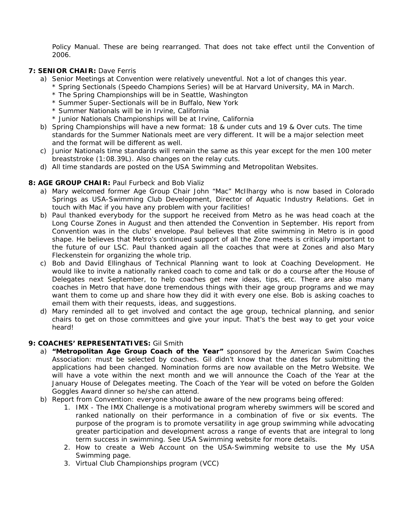Policy Manual. These are being rearranged. That does not take effect until the Convention of 2006.

### **7: SENIOR CHAIR:** Dave Ferris

- a) Senior Meetings at Convention were relatively uneventful. Not a lot of changes this year. \* Spring Sectionals (Speedo Champions Series) will be at Harvard University, MA in March.
	- \* The Spring Championships will be in Seattle, Washington
	- \* Summer Super-Sectionals will be in Buffalo, New York
	- \* Summer Nationals will be in Irvine, California
	- \* Junior Nationals Championships will be at Irvine, California
- b) Spring Championships will have a new format: 18 & under cuts and 19 & Over cuts. The time standards for the Summer Nationals meet are very different. It will be a major selection meet and the format will be different as well.
- c) Junior Nationals time standards will remain the same as this year except for the men 100 meter breaststroke (1:08.39L). Also changes on the relay cuts.
- d) All time standards are posted on the USA Swimming and Metropolitan Websites.

### **8: AGE GROUP CHAIR:** Paul Furbeck and Bob Vializ

- a) Mary welcomed former Age Group Chair John "Mac" McIlhargy who is now based in Colorado Springs as USA-Swimming Club Development, Director of Aquatic Industry Relations. Get in touch with Mac if you have any problem with your facilities!
- b) Paul thanked everybody for the support he received from Metro as he was head coach at the Long Course Zones in August and then attended the Convention in September. His report from Convention was in the clubs' envelope. Paul believes that elite swimming in Metro is in good shape. He believes that Metro's continued support of all the Zone meets is critically important to the future of our LSC. Paul thanked again all the coaches that were at Zones and also Mary Fleckenstein for organizing the whole trip.
- c) Bob and David Ellinghaus of Technical Planning want to look at Coaching Development. He would like to invite a nationally ranked coach to come and talk or do a course after the House of Delegates next September, to help coaches get new ideas, tips, etc. There are also many coaches in Metro that have done tremendous things with their age group programs and we may want them to come up and share how they did it with every one else. Bob is asking coaches to email them with their requests, ideas, and suggestions.
- d) Mary reminded all to get involved and contact the age group, technical planning, and senior chairs to get on those committees and give your input. That's the best way to get your voice heard!

### **9: COACHES' REPRESENTATIVES:** Gil Smith

- a) **"Metropolitan Age Group Coach of the Year"** sponsored by the American Swim Coaches Association: must be selected by coaches. Gil didn't know that the dates for submitting the applications had been changed. Nomination forms are now available on the Metro Website. We will have a vote within the next month and we will announce the Coach of the Year at the January House of Delegates meeting. The Coach of the Year will be voted on before the Golden Goggles Award dinner so he/she can attend.
- b) Report from Convention: everyone should be aware of the new programs being offered:
	- 1. IMX *The IMX Challenge* is a motivational program whereby swimmers will be scored and ranked nationally on their performance in a combination of five or six events. The purpose of the program is to promote versatility in age group swimming while advocating greater participation and development across a range of events that are integral to long term success in swimming. See USA Swimming website for more details.
	- 2. How to create a Web Account on the USA-Swimming website to use the *My USA Swimming* page.
	- 3. *Virtual Club Championships* program (VCC)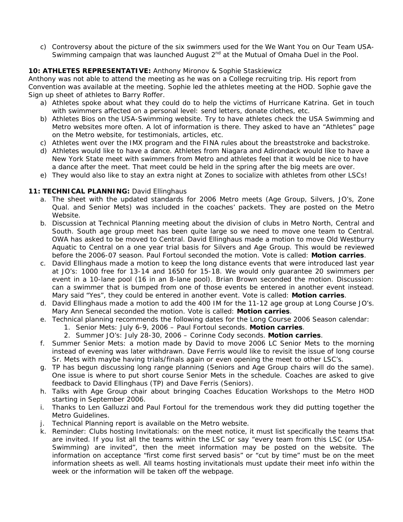c) Controversy about the picture of the six swimmers used for the *We Want You on Our Team* USA-Swimming campaign that was launched August 2<sup>nd</sup> at the Mutual of Omaha Duel in the Pool.

# **10: ATHLETES REPRESENTATIVE:** Anthony Mironov & Sophie Staskiewicz

Anthony was not able to attend the meeting as he was on a College recruiting trip. His report from Convention was available at the meeting. Sophie led the athletes meeting at the HOD. Sophie gave the Sign up sheet of athletes to Barry Roffer.

- a) Athletes spoke about what they could do to help the victims of Hurricane Katrina. Get in touch with swimmers affected on a personal level: send letters, donate clothes, etc.
- b) Athletes Bios on the USA-Swimming website. Try to have athletes check the USA Swimming and Metro websites more often. A lot of information is there. They asked to have an "Athletes" page on the Metro website, for testimonials, articles, etc.
- c) Athletes went over the IMX program and the FINA rules about the breaststroke and backstroke.
- d) Athletes would like to have a dance. Athletes from Niagara and Adirondack would like to have a New York State meet with swimmers from Metro and athletes feel that it would be nice to have a dance after the meet. That meet could be held in the spring after the big meets are over.
- e) They would also like to stay an extra night at Zones to socialize with athletes from other LSCs!

### 11: TECHNICAL PLANNING: David Ellinghaus

- a. The sheet with the updated standards for 2006 Metro meets (Age Group, Silvers, JO's, Zone Qual. and Senior Mets) was included in the coaches' packets. They are posted on the Metro Website.
- b. Discussion at Technical Planning meeting about the division of clubs in Metro North, Central and South. South age group meet has been quite large so we need to move one team to Central. OWA has asked to be moved to Central. David Ellinghaus made a motion to move Old Westburry Aquatic to Central on a one year trial basis for Silvers and Age Group. This would be reviewed before the 2006-07 season. Paul Fortoul seconded the motion. Vote is called: **Motion carries**.
- c. David Ellinghaus made a motion to keep the long distance events that were introduced last year at JO's: 1000 free for 13-14 and 1650 for 15-18. We would only guarantee 20 swimmers per event in a 10-lane pool (16 in an 8-lane pool). Brian Brown seconded the motion. Discussion: can a swimmer that is bumped from one of those events be entered in another event instead. Mary said "Yes", they could be entered in another event. Vote is called: **Motion carries**.
- d. David Ellinghaus made a motion to add the 400 IM for the 11-12 age group at Long Course JO's. Mary Ann Senecal seconded the motion. Vote is called: **Motion carries**.
- e. Technical planning recommends the following dates for the Long Course 2006 Season calendar:
	- 1. Senior Mets: July 6-9, 2006 Paul Fortoul seconds. **Motion carries**.
	- 2. Summer JO's: July 28-30, 2006 Corinne Cody seconds. **Motion carries**.
- f. Summer Senior Mets: a motion made by David to move 2006 LC Senior Mets to the morning instead of evening was later withdrawn. Dave Ferris would like to revisit the issue of long course Sr. Mets with maybe having trials/finals again or even opening the meet to other LSC's.
- g. TP has begun discussing long range planning (Seniors and Age Group chairs will do the same). One issue is where to put short course Senior Mets in the schedule. Coaches are asked to give feedback to David Ellinghaus (TP) and Dave Ferris (Seniors).
- h. Talks with Age Group chair about bringing Coaches Education Workshops to the Metro HOD starting in September 2006.
- i. Thanks to Len Galluzzi and Paul Fortoul for the tremendous work they did putting together the Metro Guidelines.
- j. Technical Planning report is available on the Metro website.
- k. Reminder: Clubs hosting Invitationals: on the meet notice, it must list specifically the teams that are invited. If you list all the teams within the LSC or say "every team from this LSC (or USA-Swimming) are invited", then the meet information may be posted on the website. The information on acceptance "first come first served basis" or "cut by time" must be on the meet information sheets as well. All teams hosting invitationals must update their meet info within the week or the information will be taken off the webpage.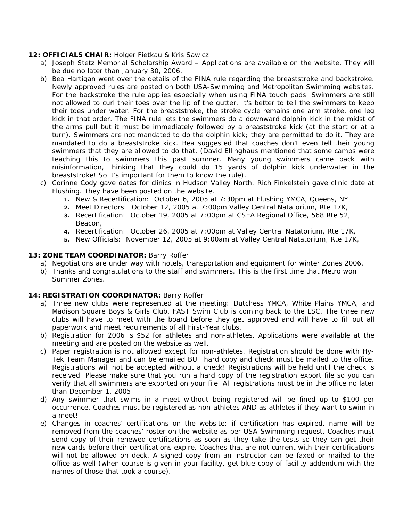### **12: OFFICIALS CHAIR:** Holger Fietkau & Kris Sawicz

- a) Joseph Stetz Memorial Scholarship Award Applications are available on the website. They will be due no later than January 30, 2006.
- b) Bea Hartigan went over the details of the FINA rule regarding the breaststroke and backstroke. Newly approved rules are posted on both USA-Swimming and Metropolitan Swimming websites. For the backstroke the rule applies especially when using FINA touch pads. Swimmers are still not allowed to curl their toes over the lip of the gutter. It's better to tell the swimmers to keep their toes under water. For the breaststroke, the stroke cycle remains one arm stroke, one leg kick in that order. The FINA rule lets the swimmers do a downward dolphin kick in the midst of the arms pull but it must be immediately followed by a breaststroke kick (at the start or at a turn). Swimmers are not mandated to do the dolphin kick; they are permitted to do it. They are mandated to do a breaststroke kick. Bea suggested that coaches don't even tell their young swimmers that they are allowed to do that. (David Ellinghaus mentioned that some camps were teaching this to swimmers this past summer. Many young swimmers came back with misinformation, thinking that they could do 15 yards of dolphin kick underwater in the breaststroke! So it's important for them to know the rule).
- c) Corinne Cody gave dates for clinics in Hudson Valley North. Rich Finkelstein gave clinic date at Flushing. They have been posted on the website.
	- **1.** New & Recertification: October 6, 2005 at 7:30pm at Flushing YMCA, Queens, NY
	- **2.** Meet Directors: October 12, 2005 at 7:00pm Valley Central Natatorium, Rte 17K,
	- **3.** Recertification: October 19, 2005 at 7:00pm at CSEA Regional Office, 568 Rte 52, Beacon,
	- **4.** Recertification: October 26, 2005 at 7:00pm at Valley Central Natatorium, Rte 17K,
	- **5.** New Officials: November 12, 2005 at 9:00am at Valley Central Natatorium, Rte 17K,

### **13: ZONE TEAM COORDINATOR:** Barry Roffer

- a) Negotiations are under way with hotels, transportation and equipment for winter Zones 2006.
- b) Thanks and congratulations to the staff and swimmers. This is the first time that Metro won Summer Zones.

### **14: REGISTRATION COORDINATOR:** Barry Roffer

- a) Three new clubs were represented at the meeting: Dutchess YMCA, White Plains YMCA, and Madison Square Boys & Girls Club. FAST Swim Club is coming back to the LSC. The three new clubs will have to meet with the board before they get approved and will have to fill out all paperwork and meet requirements of all First-Year clubs.
- b) Registration for 2006 is \$52 for athletes and non-athletes. Applications were available at the meeting and are posted on the website as well.
- c) Paper registration is not allowed except for non-athletes. Registration should be done with Hy-Tek Team Manager and can be emailed BUT hard copy and check must be mailed to the office. Registrations will not be accepted without a check! Registrations will be held until the check is received. Please make sure that you run a hard copy of the registration export file so you can verify that all swimmers are exported on your file. All registrations must be in the office no later than December 1, 2005
- d) Any swimmer that swims in a meet without being registered will be fined up to \$100 per occurrence. Coaches must be registered as non-athletes AND as athletes if they want to swim in a meet!
- e) Changes in coaches' certifications on the website: if certification has expired, name will be removed from the coaches' roster on the website as per USA-Swimming request. Coaches must send copy of their renewed certifications as soon as they take the tests so they can get their new cards before their certifications expire. Coaches that are not current with their certifications will not be allowed on deck. A signed copy from an instructor can be faxed or mailed to the office as well (when course is given in your facility, get blue copy of facility addendum with the names of those that took a course).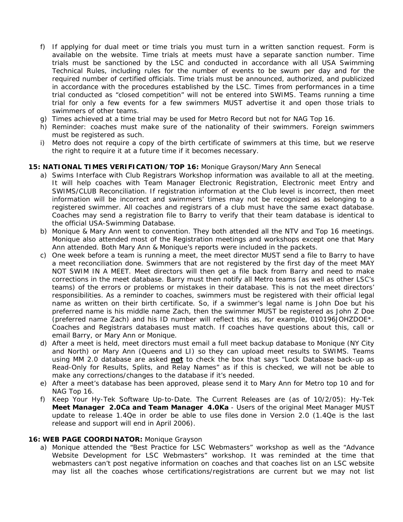- f) If applying for dual meet or time trials you must turn in a written sanction request. Form is available on the website. Time trials at meets must have a separate sanction number. Time trials must be sanctioned by the LSC and conducted in accordance with all USA Swimming Technical Rules, including rules for the number of events to be swum per day and for the required number of certified officials. Time trials must be announced, authorized, and publicized in accordance with the procedures established by the LSC. Times from performances in a time trial conducted as "closed competition" will not be entered into SWIMS. Teams running a time trial for only a few events for a few swimmers MUST advertise it and open those trials to swimmers of other teams.
- g) Times achieved at a time trial may be used for Metro Record but not for NAG Top 16.
- h) Reminder: coaches must make sure of the nationality of their swimmers. Foreign swimmers must be registered as such.
- i) Metro does not require a copy of the birth certificate of swimmers at this time, but we reserve the right to require it at a future time if it becomes necessary.

#### **15: NATIONAL TIMES VERIFICATION/TOP 16:** Monique Grayson/Mary Ann Senecal

- a) Swims Interface with Club Registrars Workshop information was available to all at the meeting. It will help coaches with Team Manager Electronic Registration, Electronic meet Entry and SWIMS/CLUB Reconciliation. If registration information at the Club level is incorrect, then meet information will be incorrect and swimmers' times may not be recognized as belonging to a registered swimmer. All coaches and registrars of a club must have the same exact database. Coaches may send a registration file to Barry to verify that their team database is identical to the official USA-Swimming Database.
- b) Monique & Mary Ann went to convention. They both attended all the NTV and Top 16 meetings. Monique also attended most of the Registration meetings and workshops except one that Mary Ann attended. Both Mary Ann & Monique's reports were included in the packets.
- c) One week before a team is running a meet, the meet director MUST send a file to Barry to have a meet reconciliation done. Swimmers that are not registered by the first day of the meet MAY NOT SWIM IN A MEET. Meet directors will then get a file back from Barry and need to make corrections in the meet database. Barry must then notify all Metro teams (as well as other LSC's teams) of the errors or problems or mistakes in their database. This is not the meet directors' responsibilities. As a reminder to coaches, swimmers must be registered with their official legal name as written on their birth certificate. So, if a swimmer's legal name is John Doe but his preferred name is his middle name Zach, then the swimmer MUST be registered as John Z Doe (preferred name Zach) and his ID number will reflect this as, for example, 010196JOHZDOE\*. Coaches and Registrars databases must match. If coaches have questions about this, call or email Barry, or Mary Ann or Monique.
- d) After a meet is held, meet directors must email a full meet backup database to Monique (NY City and North) or Mary Ann (Queens and LI) so they can upload meet results to SWIMS. Teams using MM 2.0 database are asked **not** to check the box that says "Lock Database back-up as Read-Only for Results, Splits, and Relay Names" as if this is checked, we will not be able to make any corrections/changes to the database if it's needed.
- e) After a meet's database has been approved, please send it to Mary Ann for Metro top 10 and for NAG Top 16.
- f) Keep Your Hy-Tek Software Up-to-Date. The Current Releases are (as of 10/2/05): Hy-Tek **Meet Manager 2.0Ca and Team Manager 4.0Ka** - Users of the original Meet Manager MUST update to release 1.4Qe in order be able to use files done in Version 2.0 (1.4Qe is the last release and support will end in April 2006).

#### **16: WEB PAGE COORDINATOR:** Monique Grayson

a) Monique attended the "Best Practice for LSC Webmasters" workshop as well as the "Advance Website Development for LSC Webmasters" workshop. It was reminded at the time that webmasters can't post negative information on coaches and that coaches list on an LSC website may list all the coaches whose certifications/registrations are current but we may not list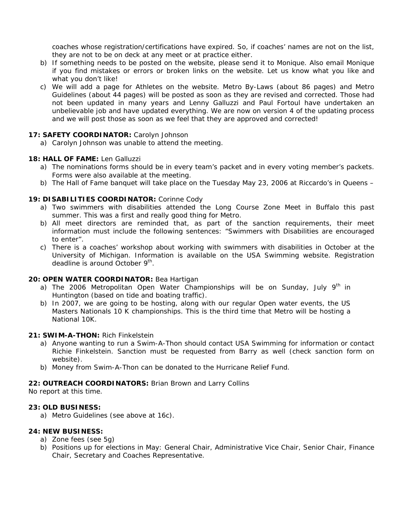coaches whose registration/certifications have expired. So, if coaches' names are not on the list, they are not to be on deck at any meet or at practice either.

- b) If something needs to be posted on the website, please send it to Monique. Also email Monique if you find mistakes or errors or broken links on the website. Let us know what you like and what you don't like!
- c) We will add a page for Athletes on the website. Metro By-Laws (about 86 pages) and Metro Guidelines (about 44 pages) will be posted as soon as they are revised and corrected. Those had not been updated in many years and Lenny Galluzzi and Paul Fortoul have undertaken an unbelievable job and have updated everything. We are now on version 4 of the updating process and we will post those as soon as we feel that they are approved and corrected!

### **17: SAFETY COORDINATOR:** Carolyn Johnson

a) Carolyn Johnson was unable to attend the meeting.

### **18: HALL OF FAME:** Len Galluzzi

- a) The nominations forms should be in every team's packet and in every voting member's packets. Forms were also available at the meeting.
- b) The Hall of Fame banquet will take place on the Tuesday May 23, 2006 at Riccardo's in Queens –

### **19: DISABILITIES COORDINATOR:** Corinne Cody

- a) Two swimmers with disabilities attended the Long Course Zone Meet in Buffalo this past summer. This was a first and really good thing for Metro.
- b) All meet directors are reminded that, as part of the sanction requirements, their meet information must include the following sentences: "Swimmers with Disabilities are encouraged to enter".
- c) There is a coaches' workshop about working with swimmers with disabilities in October at the University of Michigan. Information is available on the USA Swimming website. Registration deadline is around October 9<sup>th</sup>.

### **20: OPEN WATER COORDINATOR:** Bea Hartigan

- a) The 2006 Metropolitan Open Water Championships will be on Sunday, July  $9<sup>th</sup>$  in Huntington (based on tide and boating traffic).
- b) In 2007, we are going to be hosting, along with our regular Open water events, the US Masters Nationals 10 K championships. This is the third time that Metro will be hosting a National 10K.

### **21: SWIM-A-THON:** Rich Finkelstein

- a) Anyone wanting to run a Swim-A-Thon should contact USA Swimming for information or contact Richie Finkelstein. Sanction must be requested from Barry as well (check sanction form on website).
- b) Money from Swim-A-Thon can be donated to the Hurricane Relief Fund.

### **22: OUTREACH COORDINATORS:** Brian Brown and Larry Collins

No report at this time.

### **23: OLD BUSINESS:**

a) Metro Guidelines (see above at 16c).

### **24: NEW BUSINESS:**

- a) Zone fees (see 5g)
- b) Positions up for elections in May: General Chair, Administrative Vice Chair, Senior Chair, Finance Chair, Secretary and Coaches Representative.